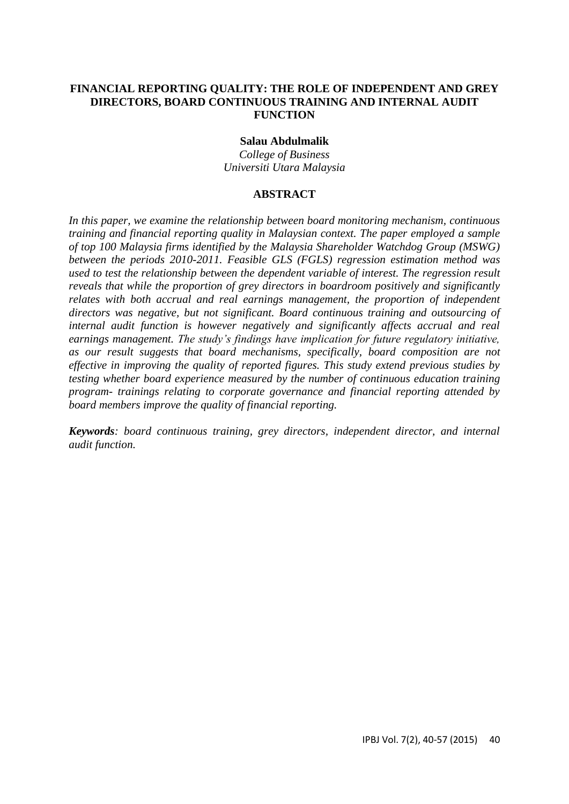## **FINANCIAL REPORTING QUALITY: THE ROLE OF INDEPENDENT AND GREY DIRECTORS, BOARD CONTINUOUS TRAINING AND INTERNAL AUDIT FUNCTION**

## **Salau Abdulmalik**

*College of Business Universiti Utara Malaysia*

## **ABSTRACT**

*In this paper, we examine the relationship between board monitoring mechanism, continuous training and financial reporting quality in Malaysian context. The paper employed a sample of top 100 Malaysia firms identified by the Malaysia Shareholder Watchdog Group (MSWG) between the periods 2010-2011. Feasible GLS (FGLS) regression estimation method was used to test the relationship between the dependent variable of interest. The regression result reveals that while the proportion of grey directors in boardroom positively and significantly relates with both accrual and real earnings management, the proportion of independent directors was negative, but not significant. Board continuous training and outsourcing of internal audit function is however negatively and significantly affects accrual and real earnings management. The study's findings have implication for future regulatory initiative, as our result suggests that board mechanisms, specifically, board composition are not effective in improving the quality of reported figures. This study extend previous studies by testing whether board experience measured by the number of continuous education training program- trainings relating to corporate governance and financial reporting attended by board members improve the quality of financial reporting.* 

*Keywords: board continuous training, grey directors, independent director, and internal audit function.*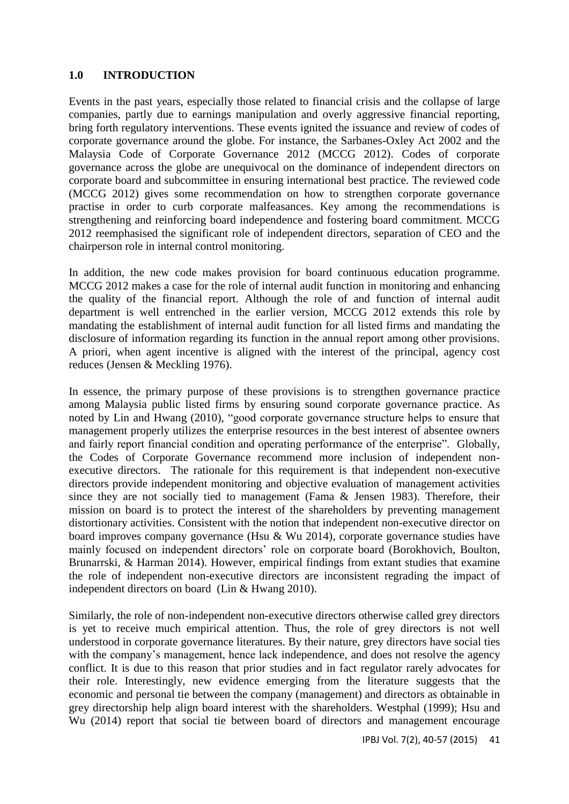## **1.0 INTRODUCTION**

Events in the past years, especially those related to financial crisis and the collapse of large companies, partly due to earnings manipulation and overly aggressive financial reporting, bring forth regulatory interventions. These events ignited the issuance and review of codes of corporate governance around the globe. For instance, the Sarbanes-Oxley Act 2002 and the Malaysia Code of Corporate Governance 2012 (MCCG 2012). Codes of corporate governance across the globe are unequivocal on the dominance of independent directors on corporate board and subcommittee in ensuring international best practice. The reviewed code (MCCG 2012) gives some recommendation on how to strengthen corporate governance practise in order to curb corporate malfeasances. Key among the recommendations is strengthening and reinforcing board independence and fostering board commitment. MCCG 2012 reemphasised the significant role of independent directors, separation of CEO and the chairperson role in internal control monitoring.

In addition, the new code makes provision for board continuous education programme. MCCG 2012 makes a case for the role of internal audit function in monitoring and enhancing the quality of the financial report. Although the role of and function of internal audit department is well entrenched in the earlier version, MCCG 2012 extends this role by mandating the establishment of internal audit function for all listed firms and mandating the disclosure of information regarding its function in the annual report among other provisions. A priori, when agent incentive is aligned with the interest of the principal, agency cost reduces (Jensen & Meckling 1976).

In essence, the primary purpose of these provisions is to strengthen governance practice among Malaysia public listed firms by ensuring sound corporate governance practice. As noted by Lin and Hwang (2010), "good corporate governance structure helps to ensure that management properly utilizes the enterprise resources in the best interest of absentee owners and fairly report financial condition and operating performance of the enterprise". Globally, the Codes of Corporate Governance recommend more inclusion of independent nonexecutive directors. The rationale for this requirement is that independent non-executive directors provide independent monitoring and objective evaluation of management activities since they are not socially tied to management (Fama & Jensen 1983). Therefore, their mission on board is to protect the interest of the shareholders by preventing management distortionary activities. Consistent with the notion that independent non-executive director on board improves company governance (Hsu & Wu 2014), corporate governance studies have mainly focused on independent directors' role on corporate board (Borokhovich, Boulton, Brunarrski, & Harman 2014). However, empirical findings from extant studies that examine the role of independent non-executive directors are inconsistent regrading the impact of independent directors on board (Lin & Hwang 2010).

Similarly, the role of non-independent non-executive directors otherwise called grey directors is yet to receive much empirical attention. Thus, the role of grey directors is not well understood in corporate governance literatures. By their nature, grey directors have social ties with the company's management, hence lack independence, and does not resolve the agency conflict. It is due to this reason that prior studies and in fact regulator rarely advocates for their role. Interestingly, new evidence emerging from the literature suggests that the economic and personal tie between the company (management) and directors as obtainable in grey directorship help align board interest with the shareholders. Westphal (1999); Hsu and Wu (2014) report that social tie between board of directors and management encourage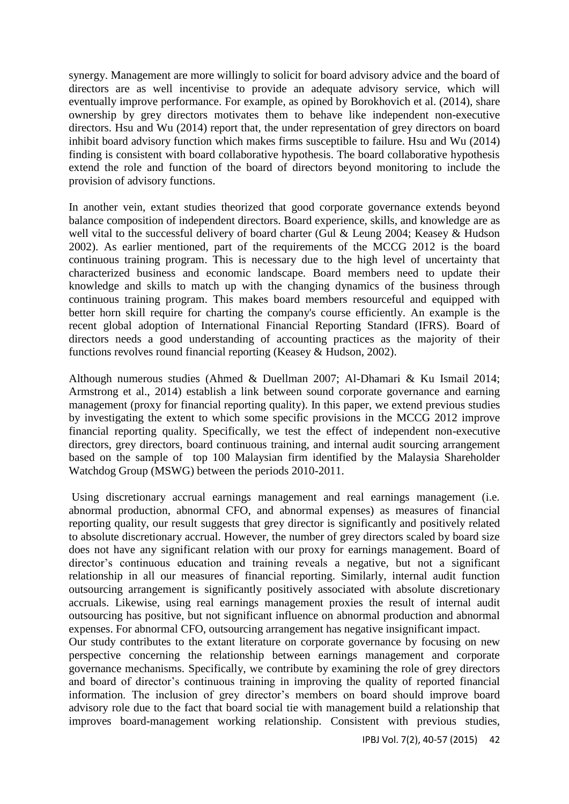synergy. Management are more willingly to solicit for board advisory advice and the board of directors are as well incentivise to provide an adequate advisory service, which will eventually improve performance. For example, as opined by Borokhovich et al. (2014), share ownership by grey directors motivates them to behave like independent non-executive directors. Hsu and Wu (2014) report that, the under representation of grey directors on board inhibit board advisory function which makes firms susceptible to failure. Hsu and Wu (2014) finding is consistent with board collaborative hypothesis. The board collaborative hypothesis extend the role and function of the board of directors beyond monitoring to include the provision of advisory functions.

In another vein, extant studies theorized that good corporate governance extends beyond balance composition of independent directors. Board experience, skills, and knowledge are as well vital to the successful delivery of board charter (Gul & Leung 2004; Keasey & Hudson 2002). As earlier mentioned, part of the requirements of the MCCG 2012 is the board continuous training program. This is necessary due to the high level of uncertainty that characterized business and economic landscape. Board members need to update their knowledge and skills to match up with the changing dynamics of the business through continuous training program. This makes board members resourceful and equipped with better horn skill require for charting the company's course efficiently. An example is the recent global adoption of International Financial Reporting Standard (IFRS). Board of directors needs a good understanding of accounting practices as the majority of their functions revolves round financial reporting (Keasey & Hudson, 2002).

Although numerous studies (Ahmed & Duellman 2007; Al-Dhamari & Ku Ismail 2014; Armstrong et al., 2014) establish a link between sound corporate governance and earning management (proxy for financial reporting quality). In this paper, we extend previous studies by investigating the extent to which some specific provisions in the MCCG 2012 improve financial reporting quality. Specifically, we test the effect of independent non-executive directors, grey directors, board continuous training, and internal audit sourcing arrangement based on the sample of top 100 Malaysian firm identified by the Malaysia Shareholder Watchdog Group (MSWG) between the periods 2010-2011.

Using discretionary accrual earnings management and real earnings management (i.e. abnormal production, abnormal CFO, and abnormal expenses) as measures of financial reporting quality, our result suggests that grey director is significantly and positively related to absolute discretionary accrual. However, the number of grey directors scaled by board size does not have any significant relation with our proxy for earnings management. Board of director's continuous education and training reveals a negative, but not a significant relationship in all our measures of financial reporting. Similarly, internal audit function outsourcing arrangement is significantly positively associated with absolute discretionary accruals. Likewise, using real earnings management proxies the result of internal audit outsourcing has positive, but not significant influence on abnormal production and abnormal expenses. For abnormal CFO, outsourcing arrangement has negative insignificant impact.

Our study contributes to the extant literature on corporate governance by focusing on new perspective concerning the relationship between earnings management and corporate governance mechanisms. Specifically, we contribute by examining the role of grey directors and board of director's continuous training in improving the quality of reported financial information. The inclusion of grey director's members on board should improve board advisory role due to the fact that board social tie with management build a relationship that improves board-management working relationship. Consistent with previous studies,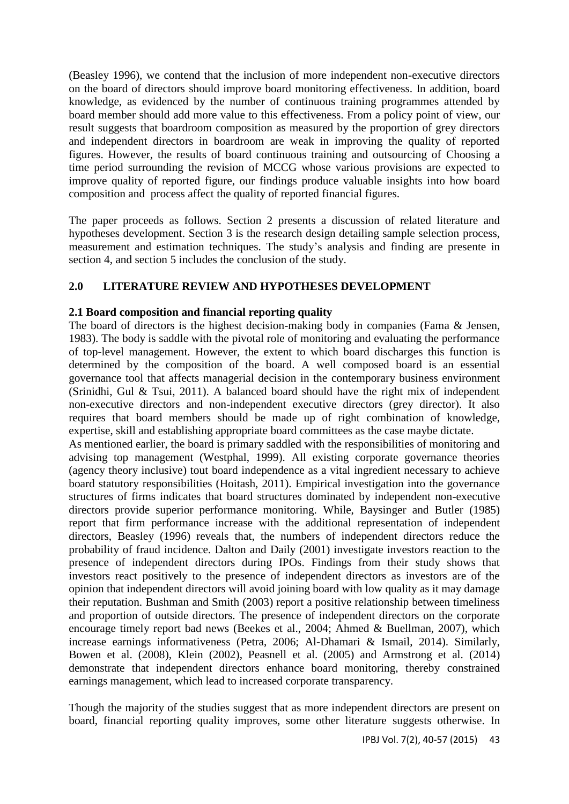(Beasley 1996), we contend that the inclusion of more independent non-executive directors on the board of directors should improve board monitoring effectiveness. In addition, board knowledge, as evidenced by the number of continuous training programmes attended by board member should add more value to this effectiveness. From a policy point of view, our result suggests that boardroom composition as measured by the proportion of grey directors and independent directors in boardroom are weak in improving the quality of reported figures. However, the results of board continuous training and outsourcing of Choosing a time period surrounding the revision of MCCG whose various provisions are expected to improve quality of reported figure, our findings produce valuable insights into how board composition and process affect the quality of reported financial figures.

The paper proceeds as follows. Section 2 presents a discussion of related literature and hypotheses development. Section 3 is the research design detailing sample selection process, measurement and estimation techniques. The study's analysis and finding are presente in section 4, and section 5 includes the conclusion of the study.

# **2.0 LITERATURE REVIEW AND HYPOTHESES DEVELOPMENT**

## **2.1 Board composition and financial reporting quality**

The board of directors is the highest decision-making body in companies (Fama & Jensen, 1983). The body is saddle with the pivotal role of monitoring and evaluating the performance of top-level management. However, the extent to which board discharges this function is determined by the composition of the board. A well composed board is an essential governance tool that affects managerial decision in the contemporary business environment (Srinidhi, Gul & Tsui, 2011). A balanced board should have the right mix of independent non-executive directors and non-independent executive directors (grey director). It also requires that board members should be made up of right combination of knowledge, expertise, skill and establishing appropriate board committees as the case maybe dictate.

As mentioned earlier, the board is primary saddled with the responsibilities of monitoring and advising top management (Westphal, 1999). All existing corporate governance theories (agency theory inclusive) tout board independence as a vital ingredient necessary to achieve board statutory responsibilities (Hoitash, 2011). Empirical investigation into the governance structures of firms indicates that board structures dominated by independent non-executive directors provide superior performance monitoring. While, Baysinger and Butler (1985) report that firm performance increase with the additional representation of independent directors, Beasley (1996) reveals that, the numbers of independent directors reduce the probability of fraud incidence. Dalton and Daily (2001) investigate investors reaction to the presence of independent directors during IPOs. Findings from their study shows that investors react positively to the presence of independent directors as investors are of the opinion that independent directors will avoid joining board with low quality as it may damage their reputation. Bushman and Smith (2003) report a positive relationship between timeliness and proportion of outside directors. The presence of independent directors on the corporate encourage timely report bad news (Beekes et al., 2004; Ahmed & Buellman, 2007), which increase earnings informativeness (Petra, 2006; Al-Dhamari & Ismail, 2014). Similarly, Bowen et al. (2008), Klein (2002), Peasnell et al. (2005) and Armstrong et al. (2014) demonstrate that independent directors enhance board monitoring, thereby constrained earnings management, which lead to increased corporate transparency.

Though the majority of the studies suggest that as more independent directors are present on board, financial reporting quality improves, some other literature suggests otherwise. In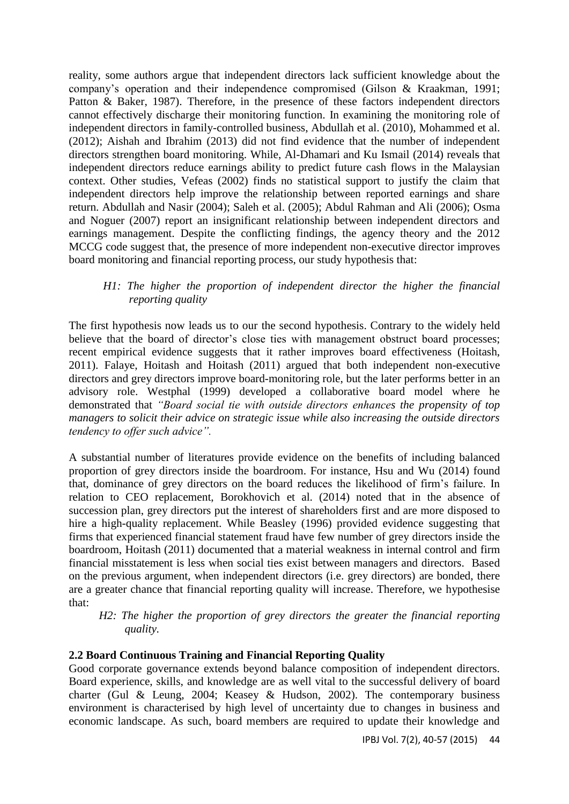reality, some authors argue that independent directors lack sufficient knowledge about the company's operation and their independence compromised (Gilson & Kraakman, 1991; Patton & Baker, 1987). Therefore, in the presence of these factors independent directors cannot effectively discharge their monitoring function. In examining the monitoring role of independent directors in family-controlled business, Abdullah et al. (2010), Mohammed et al. (2012); Aishah and Ibrahim (2013) did not find evidence that the number of independent directors strengthen board monitoring. While, Al-Dhamari and Ku Ismail (2014) reveals that independent directors reduce earnings ability to predict future cash flows in the Malaysian context. Other studies, Vefeas (2002) finds no statistical support to justify the claim that independent directors help improve the relationship between reported earnings and share return. Abdullah and Nasir (2004); Saleh et al. (2005); Abdul Rahman and Ali (2006); Osma and Noguer (2007) report an insignificant relationship between independent directors and earnings management. Despite the conflicting findings, the agency theory and the 2012 MCCG code suggest that, the presence of more independent non-executive director improves board monitoring and financial reporting process, our study hypothesis that:

## *H1: The higher the proportion of independent director the higher the financial reporting quality*

The first hypothesis now leads us to our the second hypothesis. Contrary to the widely held believe that the board of director's close ties with management obstruct board processes; recent empirical evidence suggests that it rather improves board effectiveness (Hoitash, 2011). Falaye, Hoitash and Hoitash (2011) argued that both independent non-executive directors and grey directors improve board-monitoring role, but the later performs better in an advisory role. Westphal (1999) developed a collaborative board model where he demonstrated that *"Board social tie with outside directors enhances the propensity of top managers to solicit their advice on strategic issue while also increasing the outside directors tendency to offer such advice".*

A substantial number of literatures provide evidence on the benefits of including balanced proportion of grey directors inside the boardroom. For instance, Hsu and Wu (2014) found that, dominance of grey directors on the board reduces the likelihood of firm's failure. In relation to CEO replacement, Borokhovich et al. (2014) noted that in the absence of succession plan, grey directors put the interest of shareholders first and are more disposed to hire a high-quality replacement. While Beasley (1996) provided evidence suggesting that firms that experienced financial statement fraud have few number of grey directors inside the boardroom, Hoitash (2011) documented that a material weakness in internal control and firm financial misstatement is less when social ties exist between managers and directors. Based on the previous argument, when independent directors (i.e. grey directors) are bonded, there are a greater chance that financial reporting quality will increase. Therefore, we hypothesise that:

## *H2: The higher the proportion of grey directors the greater the financial reporting quality.*

# **2.2 Board Continuous Training and Financial Reporting Quality**

Good corporate governance extends beyond balance composition of independent directors. Board experience, skills, and knowledge are as well vital to the successful delivery of board charter (Gul & Leung, 2004; Keasey & Hudson, 2002). The contemporary business environment is characterised by high level of uncertainty due to changes in business and economic landscape. As such, board members are required to update their knowledge and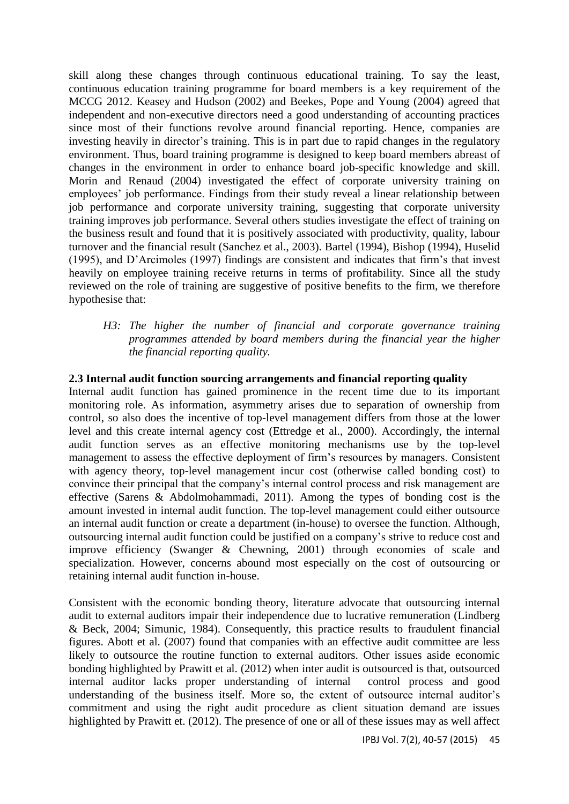skill along these changes through continuous educational training. To say the least, continuous education training programme for board members is a key requirement of the MCCG 2012. Keasey and Hudson (2002) and Beekes, Pope and Young (2004) agreed that independent and non-executive directors need a good understanding of accounting practices since most of their functions revolve around financial reporting. Hence, companies are investing heavily in director's training. This is in part due to rapid changes in the regulatory environment. Thus, board training programme is designed to keep board members abreast of changes in the environment in order to enhance board job-specific knowledge and skill. Morin and Renaud (2004) investigated the effect of corporate university training on employees' job performance. Findings from their study reveal a linear relationship between job performance and corporate university training, suggesting that corporate university training improves job performance. Several others studies investigate the effect of training on the business result and found that it is positively associated with productivity, quality, labour turnover and the financial result (Sanchez et al., 2003). Bartel (1994), Bishop (1994), Huselid (1995), and D'Arcimoles (1997) findings are consistent and indicates that firm's that invest heavily on employee training receive returns in terms of profitability. Since all the study reviewed on the role of training are suggestive of positive benefits to the firm, we therefore hypothesise that:

# *H3: The higher the number of financial and corporate governance training programmes attended by board members during the financial year the higher the financial reporting quality.*

### **2.3 Internal audit function sourcing arrangements and financial reporting quality**

Internal audit function has gained prominence in the recent time due to its important monitoring role. As information, asymmetry arises due to separation of ownership from control, so also does the incentive of top-level management differs from those at the lower level and this create internal agency cost (Ettredge et al., 2000). Accordingly, the internal audit function serves as an effective monitoring mechanisms use by the top-level management to assess the effective deployment of firm's resources by managers. Consistent with agency theory, top-level management incur cost (otherwise called bonding cost) to convince their principal that the company's internal control process and risk management are effective (Sarens & Abdolmohammadi, 2011). Among the types of bonding cost is the amount invested in internal audit function. The top-level management could either outsource an internal audit function or create a department (in-house) to oversee the function. Although, outsourcing internal audit function could be justified on a company's strive to reduce cost and improve efficiency (Swanger & Chewning, 2001) through economies of scale and specialization. However, concerns abound most especially on the cost of outsourcing or retaining internal audit function in-house.

Consistent with the economic bonding theory, literature advocate that outsourcing internal audit to external auditors impair their independence due to lucrative remuneration (Lindberg & Beck, 2004; Simunic, 1984). Consequently, this practice results to fraudulent financial figures. Abott et al. (2007) found that companies with an effective audit committee are less likely to outsource the routine function to external auditors. Other issues aside economic bonding highlighted by Prawitt et al. (2012) when inter audit is outsourced is that, outsourced internal auditor lacks proper understanding of internal control process and good understanding of the business itself. More so, the extent of outsource internal auditor's commitment and using the right audit procedure as client situation demand are issues highlighted by Prawitt et. (2012). The presence of one or all of these issues may as well affect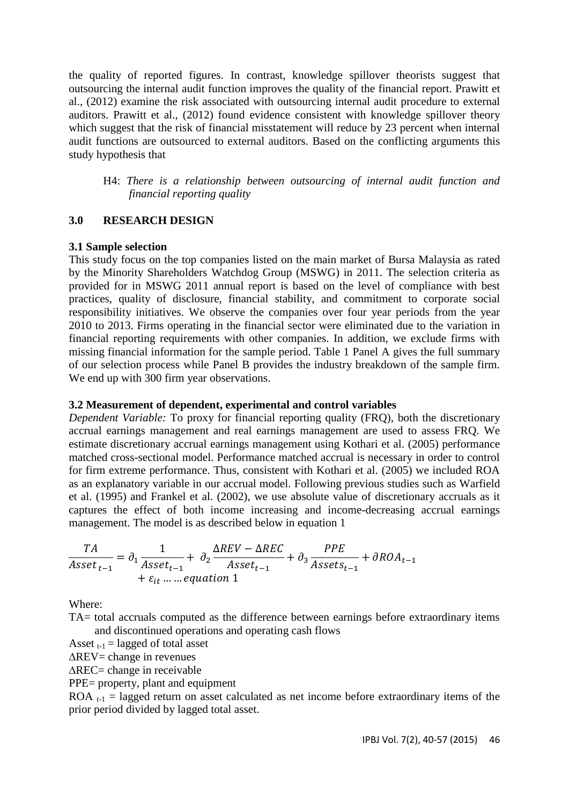the quality of reported figures. In contrast, knowledge spillover theorists suggest that outsourcing the internal audit function improves the quality of the financial report. Prawitt et al., (2012) examine the risk associated with outsourcing internal audit procedure to external auditors. Prawitt et al., (2012) found evidence consistent with knowledge spillover theory which suggest that the risk of financial misstatement will reduce by 23 percent when internal audit functions are outsourced to external auditors. Based on the conflicting arguments this study hypothesis that

H4: *There is a relationship between outsourcing of internal audit function and financial reporting quality*

### **3.0 RESEARCH DESIGN**

#### **3.1 Sample selection**

This study focus on the top companies listed on the main market of Bursa Malaysia as rated by the Minority Shareholders Watchdog Group (MSWG) in 2011. The selection criteria as provided for in MSWG 2011 annual report is based on the level of compliance with best practices, quality of disclosure, financial stability, and commitment to corporate social responsibility initiatives. We observe the companies over four year periods from the year 2010 to 2013. Firms operating in the financial sector were eliminated due to the variation in financial reporting requirements with other companies. In addition, we exclude firms with missing financial information for the sample period. Table 1 Panel A gives the full summary of our selection process while Panel B provides the industry breakdown of the sample firm. We end up with 300 firm year observations.

#### **3.2 Measurement of dependent, experimental and control variables**

*Dependent Variable:* To proxy for financial reporting quality (FRQ), both the discretionary accrual earnings management and real earnings management are used to assess FRQ. We estimate discretionary accrual earnings management using Kothari et al. (2005) performance matched cross-sectional model. Performance matched accrual is necessary in order to control for firm extreme performance. Thus, consistent with Kothari et al. (2005) we included ROA as an explanatory variable in our accrual model. Following previous studies such as Warfield et al. (1995) and Frankel et al. (2002), we use absolute value of discretionary accruals as it captures the effect of both income increasing and income-decreasing accrual earnings management. The model is as described below in equation 1

$$
\frac{TA}{\text{Asset}_{t-1}} = \partial_1 \frac{1}{\text{Asset}_{t-1}} + \partial_2 \frac{\Delta REV - \Delta REC}{\text{Asset}_{t-1}} + \partial_3 \frac{PPE}{\text{Asset}_{t-1}} + \partial ROA_{t-1}
$$
  
+  $\varepsilon_{it}$  .... equation 1

Where:

TA= total accruals computed as the difference between earnings before extraordinary items and discontinued operations and operating cash flows

Asset  $_{t-1}$  = lagged of total asset

∆REV= change in revenues

∆REC= change in receivable

PPE= property, plant and equipment

 $ROA_{t-1}$  = lagged return on asset calculated as net income before extraordinary items of the prior period divided by lagged total asset.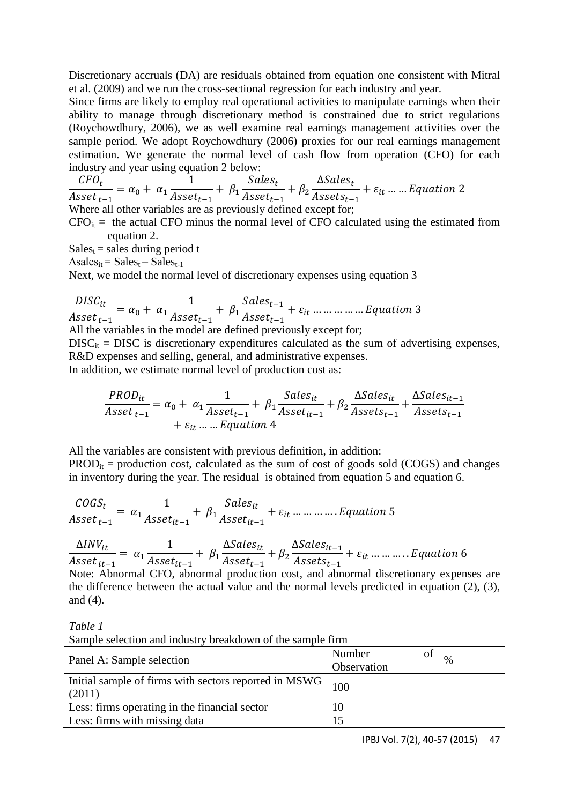Discretionary accruals (DA) are residuals obtained from equation one consistent with Mitral et al. (2009) and we run the cross-sectional regression for each industry and year.

Since firms are likely to employ real operational activities to manipulate earnings when their ability to manage through discretionary method is constrained due to strict regulations (Roychowdhury, 2006), we as well examine real earnings management activities over the sample period. We adopt Roychowdhury (2006) proxies for our real earnings management estimation. We generate the normal level of cash flow from operation (CFO) for each industry and year using equation 2 below:

 $CFO_t$ Asset  $_{t-1}$  $= \alpha_0 + \alpha_1$ 1  $\textit{Asset}_{t-1}$ +  $\beta_1$  $\mathit{Sales}_t$  $\textit{Asset}_{t-1}$  $+\beta_2$  $\Delta Sales_t$  $\mathit{Assets}_{t-1}$  $+ \varepsilon_{it}$  ... ... Equation 2 Where all other variables are as previously defined except for;

 $CFO_{it}$  = the actual CFO minus the normal level of CFO calculated using the estimated from equation 2.

 $Sales_t = sales$  during period t

 $\Delta$ sales<sub>it</sub> = Sales<sub>t</sub> – Sales<sub>t-1</sub>

Next, we model the normal level of discretionary expenses using equation 3

 −1 = <sup>0</sup> + <sup>1</sup> 1 −1 + <sup>1</sup> −1 −1 + … … … … … 3

All the variables in the model are defined previously except for;

 $DISC_{it} = DISC$  is discretionary expenditures calculated as the sum of advertising expenses, R&D expenses and selling, general, and administrative expenses.

In addition, we estimate normal level of production cost as:

$$
\frac{PROD_{it}}{Asset_{t-1}} = \alpha_0 + \alpha_1 \frac{1}{Asset_{t-1}} + \beta_1 \frac{Sales_{it}}{Asset_{it-1}} + \beta_2 \frac{\Delta Sales_{it}}{Asset_{t-1}} + \frac{\Delta Sales_{it-1}}{Asset_{t-1}} + \epsilon_{it} \dots \dots \epsilon quantion 4
$$

All the variables are consistent with previous definition, in addition:

 $PROD_{it}$  = production cost, calculated as the sum of cost of goods sold (COGS) and changes in inventory during the year. The residual is obtained from equation 5 and equation 6.

$$
\frac{COGS_t}{Asset_{t-1}} = \alpha_1 \frac{1}{Asset_{it-1}} + \beta_1 \frac{Sales_{it}}{Asset_{it-1}} + \varepsilon_{it} \dots \dots \dots \dots \dots Equation 5
$$

 $\Delta$ IN $V_{it}$ Asset <sub>it−1</sub>  $=$   $\alpha_1$ 1  $\textit{Asset}_{it-1}$ +  $\beta_1$  $\Delta Sales_{it}$  $\textit{Asset}_{t-1}$  $+\beta_2$ ∆Sales<sub>it−1</sub> Assets $_{t-1}$  $+ \varepsilon_{it}$  ... ... ... . Equation 6

Note: Abnormal CFO, abnormal production cost, and abnormal discretionary expenses are the difference between the actual value and the normal levels predicted in equation (2), (3), and (4).

*Table 1*

Sample selection and industry breakdown of the sample firm

| Panel A: Sample selection                                       | Number<br>Observation | OI<br>$\frac{0}{0}$ |
|-----------------------------------------------------------------|-----------------------|---------------------|
| Initial sample of firms with sectors reported in MSWG<br>(2011) | 100                   |                     |
| Less: firms operating in the financial sector                   |                       |                     |
| Less: firms with missing data                                   |                       |                     |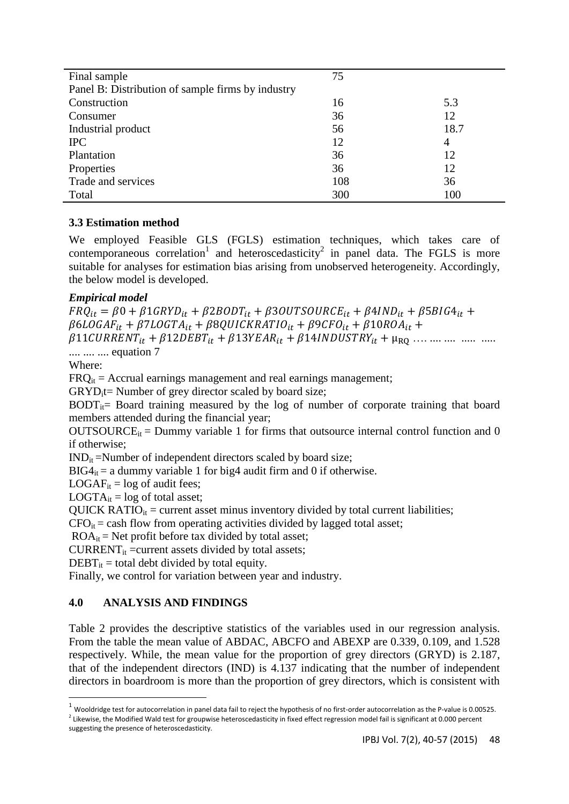| Final sample                                      | 75  |      |
|---------------------------------------------------|-----|------|
| Panel B: Distribution of sample firms by industry |     |      |
| Construction                                      | 16  | 5.3  |
| Consumer                                          | 36  | 12   |
| Industrial product                                | 56  | 18.7 |
| <b>IPC</b>                                        | 12  | 4    |
| Plantation                                        | 36  | 12   |
| Properties                                        | 36  | 12   |
| Trade and services                                | 108 | 36   |
| Total                                             | 300 | 100  |

## **3.3 Estimation method**

We employed Feasible GLS (FGLS) estimation techniques, which takes care of contemporaneous correlation<sup>1</sup> and heteroscedasticity<sup>2</sup> in panel data. The FGLS is more suitable for analyses for estimation bias arising from unobserved heterogeneity. Accordingly, the below model is developed.

## *Empirical model*

 $FRQ_{it} = \beta 0 + \beta 1 GRYD_{it} + \beta 2 BODT_{it} + \beta 3 OUTSOURCE_{it} + \beta 4 IND_{it} + \beta 5 BIG4_{it} +$  $\beta$ 6LOGAF<sub>it</sub> +  $\beta$ 7LOGTA<sub>it</sub> +  $\beta$ 8QUICKRATIO<sub>it</sub> +  $\beta$ 9CFO<sub>it</sub> +  $\beta$ 10ROA<sub>it</sub> +  $\beta$ 11 CURRENT<sub>it</sub> +  $\beta$ 12 DEBT<sub>it</sub> +  $\beta$ 13 YEAR<sub>it</sub> +  $\beta$ 14 IN DUSTRY<sub>it</sub> +  $\mu_{\text{RO}}$  .... ..... ..... .....

.... .... .... equation 7

Where:

 $\overline{a}$ 

 $FRQ<sub>it</sub> = Accrual earnings management and real earnings management;$ 

 $GRYD_i t =$  Number of grey director scaled by board size;

 $BODT_{it}=$  Board training measured by the log of number of corporate training that board members attended during the financial year;

OUTSOURCE $_{it}$  = Dummy variable 1 for firms that outsource internal control function and 0 if otherwise;

 $IND_{it}$ =Number of independent directors scaled by board size;

 $BIG4_{it} = a$  dummy variable 1 for big4 audit firm and 0 if otherwise.

 $LOGAF_{it} = log of audit fees;$ 

 $LOGTA_{it} = log of total asset;$ 

QUICK RATIO $_{it}$  = current asset minus inventory divided by total current liabilities;

 $CFO_{it}$  = cash flow from operating activities divided by lagged total asset;

 $ROA_{it}$  = Net profit before tax divided by total asset;

 $CURRENT_{it}$  =current assets divided by total assets;

 $DEBT_{it} = total$  debt divided by total equity.

Finally, we control for variation between year and industry.

# **4.0 ANALYSIS AND FINDINGS**

Table 2 provides the descriptive statistics of the variables used in our regression analysis. From the table the mean value of ABDAC, ABCFO and ABEXP are 0.339, 0.109, and 1.528 respectively. While, the mean value for the proportion of grey directors (GRYD) is 2.187, that of the independent directors (IND) is 4.137 indicating that the number of independent directors in boardroom is more than the proportion of grey directors, which is consistent with

 $1$  Wooldridge test for autocorrelation in panel data fail to reject the hypothesis of no first-order autocorrelation as the P-value is 0.00525.

<sup>&</sup>lt;sup>2</sup> Likewise, the Modified Wald test for groupwise heteroscedasticity in fixed effect regression model fail is significant at 0.000 percent suggesting the presence of heteroscedasticity.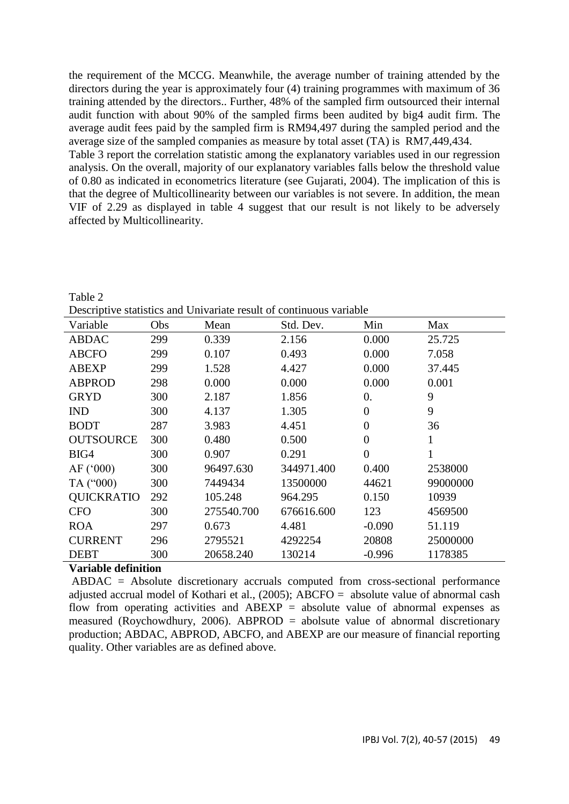the requirement of the MCCG. Meanwhile, the average number of training attended by the directors during the year is approximately four (4) training programmes with maximum of 36 training attended by the directors.. Further, 48% of the sampled firm outsourced their internal audit function with about 90% of the sampled firms been audited by big4 audit firm. The average audit fees paid by the sampled firm is RM94,497 during the sampled period and the average size of the sampled companies as measure by total asset (TA) is RM7,449,434.

Table 3 report the correlation statistic among the explanatory variables used in our regression analysis. On the overall, majority of our explanatory variables falls below the threshold value of 0.80 as indicated in econometrics literature (see Gujarati, 2004). The implication of this is that the degree of Multicollinearity between our variables is not severe. In addition, the mean VIF of 2.29 as displayed in table 4 suggest that our result is not likely to be adversely affected by Multicollinearity.

| Descriptive statistics and Onlyariate result of continuous variable |     |            |            |                  |              |  |  |  |  |  |
|---------------------------------------------------------------------|-----|------------|------------|------------------|--------------|--|--|--|--|--|
| Variable                                                            | Obs | Mean       | Std. Dev.  | Min              | Max          |  |  |  |  |  |
| <b>ABDAC</b>                                                        | 299 | 0.339      | 2.156      | 0.000            | 25.725       |  |  |  |  |  |
| <b>ABCFO</b>                                                        | 299 | 0.107      | 0.493      | 0.000            | 7.058        |  |  |  |  |  |
| <b>ABEXP</b>                                                        | 299 | 1.528      | 4.427      | 0.000            | 37.445       |  |  |  |  |  |
| <b>ABPROD</b>                                                       | 298 | 0.000      | 0.000      | 0.000            | 0.001        |  |  |  |  |  |
| <b>GRYD</b>                                                         | 300 | 2.187      | 1.856      | $\overline{0}$ . | 9            |  |  |  |  |  |
| <b>IND</b>                                                          | 300 | 4.137      | 1.305      | $\overline{0}$   | 9            |  |  |  |  |  |
| <b>BODT</b>                                                         | 287 | 3.983      | 4.451      | 0                | 36           |  |  |  |  |  |
| <b>OUTSOURCE</b>                                                    | 300 | 0.480      | 0.500      | 0                | $\mathbf{1}$ |  |  |  |  |  |
| BIG4                                                                | 300 | 0.907      | 0.291      | 0                | 1            |  |  |  |  |  |
| AF (000)                                                            | 300 | 96497.630  | 344971.400 | 0.400            | 2538000      |  |  |  |  |  |
| TA ("000)                                                           | 300 | 7449434    | 13500000   | 44621            | 99000000     |  |  |  |  |  |
| <b>QUICKRATIO</b>                                                   | 292 | 105.248    | 964.295    | 0.150            | 10939        |  |  |  |  |  |
| <b>CFO</b>                                                          | 300 | 275540.700 | 676616.600 | 123              | 4569500      |  |  |  |  |  |
| <b>ROA</b>                                                          | 297 | 0.673      | 4.481      | $-0.090$         | 51.119       |  |  |  |  |  |
| <b>CURRENT</b>                                                      | 296 | 2795521    | 4292254    | 20808            | 25000000     |  |  |  |  |  |
| <b>DEBT</b>                                                         | 300 | 20658.240  | 130214     | $-0.996$         | 1178385      |  |  |  |  |  |

Table 2 Descriptive statistics and Univariate result of continuous variable

## **Variable definition**

ABDAC = Absolute discretionary accruals computed from cross-sectional performance adjusted accrual model of Kothari et al.,  $(2005)$ ; ABCFO = absolute value of abnormal cash flow from operating activities and  $ABEXP = absolute value of abnormal expenses as$ measured (Roychowdhury, 2006). ABPROD = abolsute value of abnormal discretionary production; ABDAC, ABPROD, ABCFO, and ABEXP are our measure of financial reporting quality. Other variables are as defined above.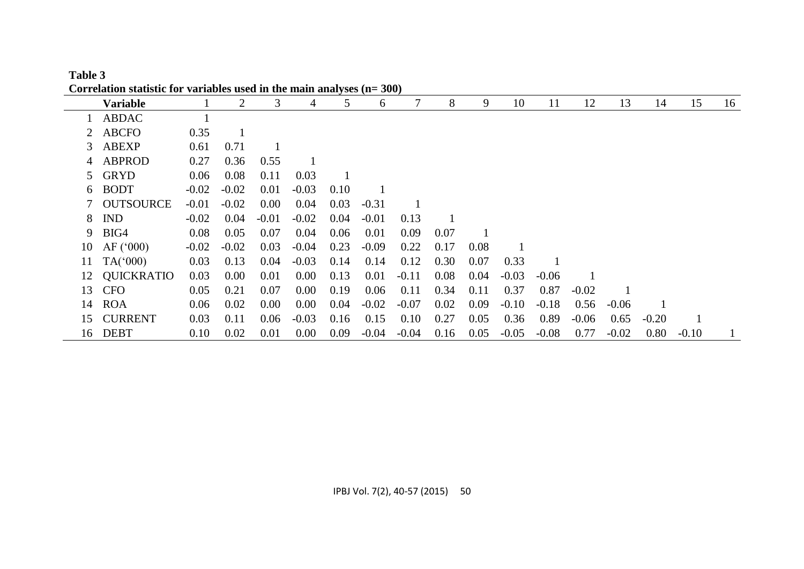|    | <b>Variable</b>   |         | 2       | 3       | 4       |      | 6       |         | 8    | 9    | 10      | 11      | 12      | 13      | 14      | 15      | 16 |
|----|-------------------|---------|---------|---------|---------|------|---------|---------|------|------|---------|---------|---------|---------|---------|---------|----|
|    | ABDAC             |         |         |         |         |      |         |         |      |      |         |         |         |         |         |         |    |
|    | <b>ABCFO</b>      | 0.35    |         |         |         |      |         |         |      |      |         |         |         |         |         |         |    |
| 3  | <b>ABEXP</b>      | 0.61    | 0.71    |         |         |      |         |         |      |      |         |         |         |         |         |         |    |
| 4  | ABPROD            | 0.27    | 0.36    | 0.55    |         |      |         |         |      |      |         |         |         |         |         |         |    |
|    | 5 GRYD            | 0.06    | 0.08    | 0.11    | 0.03    |      |         |         |      |      |         |         |         |         |         |         |    |
| 6  | <b>BODT</b>       | $-0.02$ | $-0.02$ | 0.01    | $-0.03$ | 0.10 |         |         |      |      |         |         |         |         |         |         |    |
|    | <b>OUTSOURCE</b>  | $-0.01$ | $-0.02$ | 0.00    | 0.04    | 0.03 | $-0.31$ |         |      |      |         |         |         |         |         |         |    |
| 8  | <b>IND</b>        | $-0.02$ | 0.04    | $-0.01$ | $-0.02$ | 0.04 | $-0.01$ | 0.13    |      |      |         |         |         |         |         |         |    |
| 9  | BIG4              | 0.08    | 0.05    | 0.07    | 0.04    | 0.06 | 0.01    | 0.09    | 0.07 |      |         |         |         |         |         |         |    |
| 10 | AF('000)          | $-0.02$ | $-0.02$ | 0.03    | $-0.04$ | 0.23 | $-0.09$ | 0.22    | 0.17 | 0.08 |         |         |         |         |         |         |    |
| 11 | TA("000)          | 0.03    | 0.13    | 0.04    | $-0.03$ | 0.14 | 0.14    | 0.12    | 0.30 | 0.07 | 0.33    |         |         |         |         |         |    |
| 12 | <b>QUICKRATIO</b> | 0.03    | 0.00    | 0.01    | 0.00    | 0.13 | 0.01    | $-0.11$ | 0.08 | 0.04 | $-0.03$ | $-0.06$ |         |         |         |         |    |
| 13 | <b>CFO</b>        | 0.05    | 0.21    | 0.07    | 0.00    | 0.19 | 0.06    | 0.11    | 0.34 | 0.11 | 0.37    | 0.87    | $-0.02$ |         |         |         |    |
| 14 | <b>ROA</b>        | 0.06    | 0.02    | 0.00    | 0.00    | 0.04 | $-0.02$ | $-0.07$ | 0.02 | 0.09 | $-0.10$ | $-0.18$ | 0.56    | $-0.06$ |         |         |    |
|    | 15 CURRENT        | 0.03    | 0.11    | 0.06    | $-0.03$ | 0.16 | 0.15    | 0.10    | 0.27 | 0.05 | 0.36    | 0.89    | $-0.06$ | 0.65    | $-0.20$ |         |    |
| 16 | <b>DEBT</b>       | 0.10    | 0.02    | 0.01    | 0.00    | 0.09 | $-0.04$ | $-0.04$ | 0.16 | 0.05 | $-0.05$ | $-0.08$ | 0.77    | $-0.02$ | 0.80    | $-0.10$ |    |

**Table 3 Correlation statistic for variables used in the main analyses (n= 300)**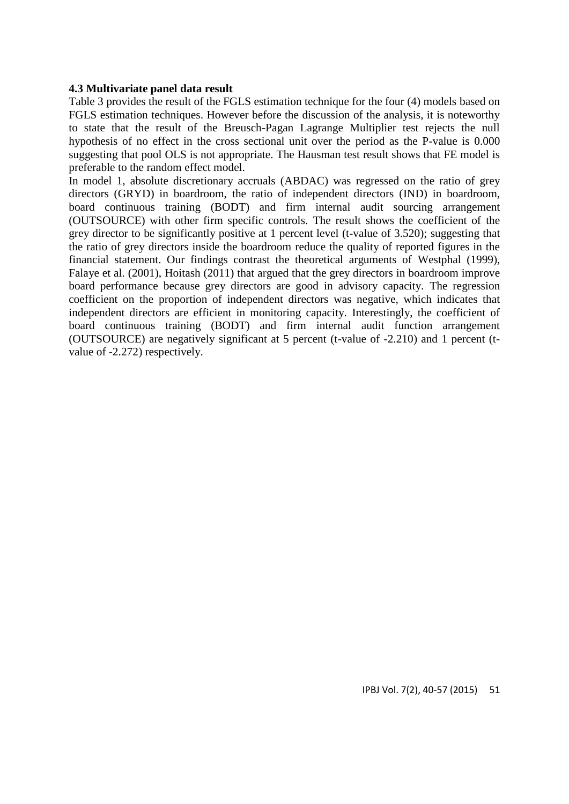### **4.3 Multivariate panel data result**

Table 3 provides the result of the FGLS estimation technique for the four (4) models based on FGLS estimation techniques. However before the discussion of the analysis, it is noteworthy to state that the result of the Breusch-Pagan Lagrange Multiplier test rejects the null hypothesis of no effect in the cross sectional unit over the period as the P-value is 0.000 suggesting that pool OLS is not appropriate. The Hausman test result shows that FE model is preferable to the random effect model.

In model 1, absolute discretionary accruals (ABDAC) was regressed on the ratio of grey directors (GRYD) in boardroom, the ratio of independent directors (IND) in boardroom, board continuous training (BODT) and firm internal audit sourcing arrangement (OUTSOURCE) with other firm specific controls. The result shows the coefficient of the grey director to be significantly positive at 1 percent level (t-value of 3.520); suggesting that the ratio of grey directors inside the boardroom reduce the quality of reported figures in the financial statement. Our findings contrast the theoretical arguments of Westphal (1999), Falaye et al. (2001), Hoitash (2011) that argued that the grey directors in boardroom improve board performance because grey directors are good in advisory capacity. The regression coefficient on the proportion of independent directors was negative, which indicates that independent directors are efficient in monitoring capacity. Interestingly, the coefficient of board continuous training (BODT) and firm internal audit function arrangement (OUTSOURCE) are negatively significant at 5 percent (t-value of -2.210) and 1 percent (tvalue of -2.272) respectively.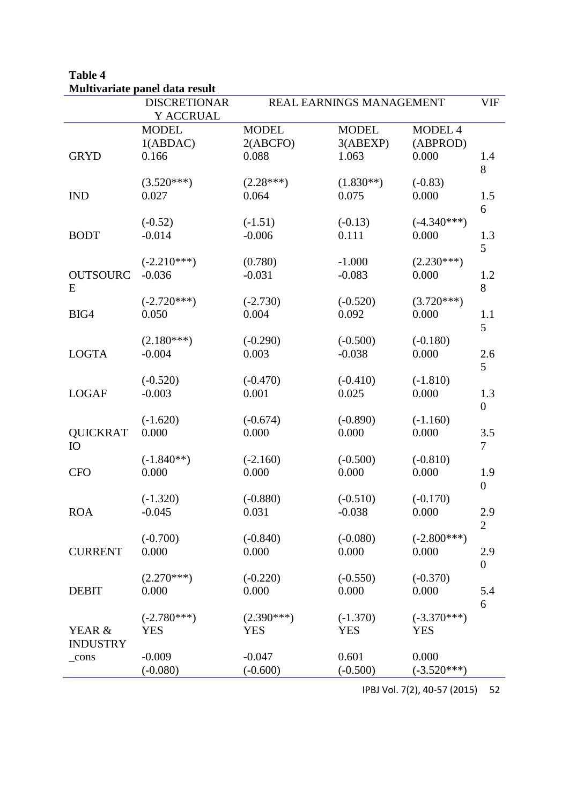**Table 4 Multivariate panel data result** 

|                 | <b>DISCRETIONAR</b><br>REAL EARNINGS MANAGEMENT |                     |              |               |                  |  |
|-----------------|-------------------------------------------------|---------------------|--------------|---------------|------------------|--|
|                 | Y ACCRUAL                                       |                     |              |               |                  |  |
|                 | <b>MODEL</b>                                    | <b>MODEL</b>        | <b>MODEL</b> | MODEL 4       |                  |  |
|                 | 1(ABDAC)                                        | 2(ABCFO)            | 3(ABEXP)     | (ABPROD)      |                  |  |
| <b>GRYD</b>     | 0.166                                           | 0.088               | 1.063        | 0.000         | 1.4              |  |
|                 |                                                 |                     |              |               | 8                |  |
|                 | $(3.520***)$                                    | $(2.28***)$         | $(1.830**)$  | $(-0.83)$     |                  |  |
| <b>IND</b>      | 0.027                                           | 0.064               | 0.075        | 0.000         | 1.5              |  |
|                 |                                                 |                     |              |               | 6                |  |
|                 | $(-0.52)$                                       | $(-1.51)$           | $(-0.13)$    | $(-4.340***)$ |                  |  |
| <b>BODT</b>     | $-0.014$                                        | $-0.006$            | 0.111        | 0.000         | 1.3              |  |
|                 |                                                 |                     |              |               | 5                |  |
|                 | $(-2.210***)$                                   | (0.780)             | $-1.000$     | $(2.230***)$  |                  |  |
| <b>OUTSOURC</b> | $-0.036$                                        | $-0.031$            | $-0.083$     | 0.000         | 1.2              |  |
| E               |                                                 |                     |              |               | 8                |  |
|                 | $(-2.720***)$                                   | $(-2.730)$          | $(-0.520)$   | $(3.720***)$  |                  |  |
| BIG4            | 0.050                                           | 0.004               | 0.092        | 0.000         | 1.1              |  |
|                 |                                                 |                     |              |               | 5                |  |
|                 | $(2.180***)$                                    | $(-0.290)$          | $(-0.500)$   | $(-0.180)$    |                  |  |
| <b>LOGTA</b>    | $-0.004$                                        | 0.003               | $-0.038$     | 0.000         | 2.6              |  |
|                 |                                                 |                     |              |               | 5                |  |
|                 | $(-0.520)$                                      | $(-0.470)$          | $(-0.410)$   | $(-1.810)$    |                  |  |
| <b>LOGAF</b>    | $-0.003$                                        | 0.001               | 0.025        | 0.000         | 1.3              |  |
|                 |                                                 |                     |              |               | $\overline{0}$   |  |
|                 | $(-1.620)$                                      | $(-0.674)$          | $(-0.890)$   | $(-1.160)$    |                  |  |
| <b>QUICKRAT</b> | 0.000                                           | 0.000               | 0.000        | 0.000         | 3.5              |  |
| IO              |                                                 |                     |              |               | $\overline{7}$   |  |
|                 | $(-1.840**)$                                    | $(-2.160)$          | $(-0.500)$   | $(-0.810)$    |                  |  |
| <b>CFO</b>      | 0.000                                           | 0.000               | 0.000        | 0.000         | 1.9              |  |
|                 |                                                 |                     |              |               | $\boldsymbol{0}$ |  |
|                 | $(-1.320)$                                      | $(-0.880)$          | $(-0.510)$   | $(-0.170)$    |                  |  |
| <b>ROA</b>      | $-0.045$                                        | 0.031               | $-0.038$     | 0.000         | 2.9              |  |
|                 |                                                 |                     |              |               | 2                |  |
|                 | $(-0.700)$                                      | $(-0.840)$          | $(-0.080)$   | $(-2.800***)$ |                  |  |
| <b>CURRENT</b>  | 0.000                                           | 0.000               | 0.000        | 0.000         | 2.9              |  |
|                 |                                                 |                     |              |               | $\overline{0}$   |  |
|                 | $(2.270***)$                                    |                     | $(-0.550)$   | $(-0.370)$    |                  |  |
| <b>DEBIT</b>    | 0.000                                           | $(-0.220)$<br>0.000 | 0.000        | 0.000         | 5.4              |  |
|                 |                                                 |                     |              |               |                  |  |
|                 |                                                 |                     |              |               | 6                |  |
|                 | $(-2.780***)$                                   | $(2.390***)$        | $(-1.370)$   | $(-3.370***)$ |                  |  |
| YEAR &          | <b>YES</b>                                      | <b>YES</b>          | <b>YES</b>   | <b>YES</b>    |                  |  |
| <b>INDUSTRY</b> |                                                 |                     |              |               |                  |  |
| $_{\rm cons}$   | $-0.009$                                        | $-0.047$            | 0.601        | 0.000         |                  |  |
|                 | $(-0.080)$                                      | $(-0.600)$          | $(-0.500)$   | $(-3.520***)$ |                  |  |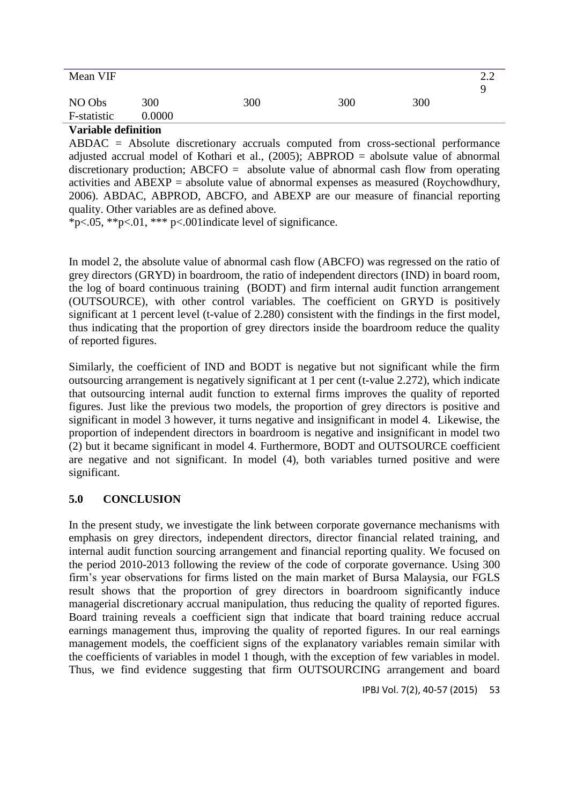| Mean VIF              |               |     |     |     | ററ<br>2.L |
|-----------------------|---------------|-----|-----|-----|-----------|
| NO Obs<br>F-statistic | 300<br>0.0000 | 300 | 300 | 300 |           |

### **Variable definition**

ABDAC = Absolute discretionary accruals computed from cross-sectional performance adjusted accrual model of Kothari et al., (2005); ABPROD = abolsute value of abnormal discretionary production; ABCFO = absolute value of abnormal cash flow from operating activities and ABEXP = absolute value of abnormal expenses as measured (Roychowdhury, 2006). ABDAC, ABPROD, ABCFO, and ABEXP are our measure of financial reporting quality. Other variables are as defined above.

\*p<.05, \*\*p<.01, \*\*\* p<.001indicate level of significance.

In model 2, the absolute value of abnormal cash flow (ABCFO) was regressed on the ratio of grey directors (GRYD) in boardroom, the ratio of independent directors (IND) in board room, the log of board continuous training (BODT) and firm internal audit function arrangement (OUTSOURCE), with other control variables. The coefficient on GRYD is positively significant at 1 percent level (t-value of 2.280) consistent with the findings in the first model, thus indicating that the proportion of grey directors inside the boardroom reduce the quality of reported figures.

Similarly, the coefficient of IND and BODT is negative but not significant while the firm outsourcing arrangement is negatively significant at 1 per cent (t-value 2.272), which indicate that outsourcing internal audit function to external firms improves the quality of reported figures. Just like the previous two models, the proportion of grey directors is positive and significant in model 3 however, it turns negative and insignificant in model 4. Likewise, the proportion of independent directors in boardroom is negative and insignificant in model two (2) but it became significant in model 4. Furthermore, BODT and OUTSOURCE coefficient are negative and not significant. In model (4), both variables turned positive and were significant.

## **5.0 CONCLUSION**

In the present study, we investigate the link between corporate governance mechanisms with emphasis on grey directors, independent directors, director financial related training, and internal audit function sourcing arrangement and financial reporting quality. We focused on the period 2010-2013 following the review of the code of corporate governance. Using 300 firm's year observations for firms listed on the main market of Bursa Malaysia, our FGLS result shows that the proportion of grey directors in boardroom significantly induce managerial discretionary accrual manipulation, thus reducing the quality of reported figures. Board training reveals a coefficient sign that indicate that board training reduce accrual earnings management thus, improving the quality of reported figures. In our real earnings management models, the coefficient signs of the explanatory variables remain similar with the coefficients of variables in model 1 though, with the exception of few variables in model. Thus, we find evidence suggesting that firm OUTSOURCING arrangement and board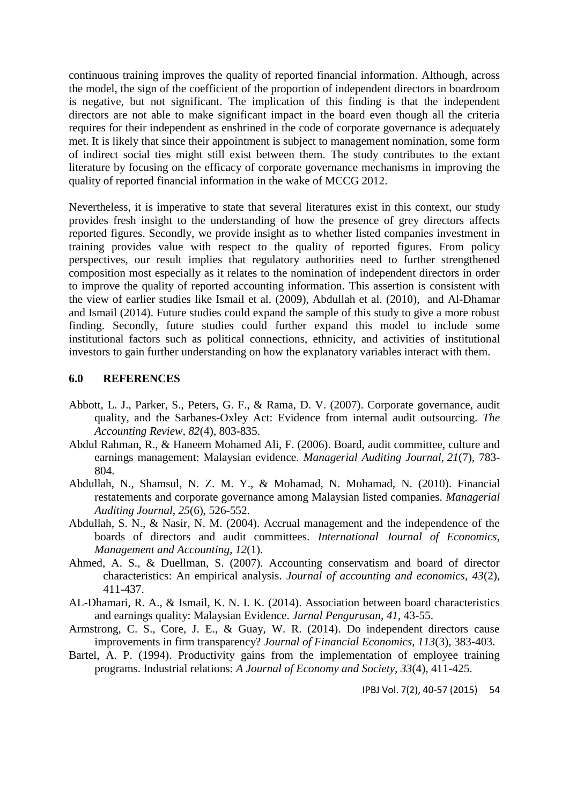continuous training improves the quality of reported financial information. Although, across the model, the sign of the coefficient of the proportion of independent directors in boardroom is negative, but not significant. The implication of this finding is that the independent directors are not able to make significant impact in the board even though all the criteria requires for their independent as enshrined in the code of corporate governance is adequately met. It is likely that since their appointment is subject to management nomination, some form of indirect social ties might still exist between them. The study contributes to the extant literature by focusing on the efficacy of corporate governance mechanisms in improving the quality of reported financial information in the wake of MCCG 2012.

Nevertheless, it is imperative to state that several literatures exist in this context, our study provides fresh insight to the understanding of how the presence of grey directors affects reported figures. Secondly, we provide insight as to whether listed companies investment in training provides value with respect to the quality of reported figures. From policy perspectives, our result implies that regulatory authorities need to further strengthened composition most especially as it relates to the nomination of independent directors in order to improve the quality of reported accounting information. This assertion is consistent with the view of earlier studies like Ismail et al. (2009), Abdullah et al. (2010), and Al-Dhamar and Ismail (2014). Future studies could expand the sample of this study to give a more robust finding. Secondly, future studies could further expand this model to include some institutional factors such as political connections, ethnicity, and activities of institutional investors to gain further understanding on how the explanatory variables interact with them.

#### **6.0 REFERENCES**

- Abbott, L. J., Parker, S., Peters, G. F., & Rama, D. V. (2007). Corporate governance, audit quality, and the Sarbanes-Oxley Act: Evidence from internal audit outsourcing*. The Accounting Review, 82*(4), 803-835.
- Abdul Rahman, R., & Haneem Mohamed Ali, F. (2006). Board, audit committee, culture and earnings management: Malaysian evidence. *Managerial Auditing Journal, 21*(7), 783- 804.
- Abdullah, N., Shamsul, N. Z. M. Y., & Mohamad, N. Mohamad, N. (2010). Financial restatements and corporate governance among Malaysian listed companies. *Managerial Auditing Journal, 25*(6), 526-552.
- Abdullah, S. N., & Nasir, N. M. (2004). Accrual management and the independence of the boards of directors and audit committees. *International Journal of Economics, Management and Accounting, 12*(1).
- Ahmed, A. S., & Duellman, S. (2007). Accounting conservatism and board of director characteristics: An empirical analysis. *Journal of accounting and economics, 43*(2), 411-437.
- AL-Dhamari, R. A., & Ismail, K. N. I. K. (2014). Association between board characteristics and earnings quality: Malaysian Evidence. *Jurnal Pengurusan, 41*, 43-55.
- Armstrong, C. S., Core, J. E., & Guay, W. R. (2014). Do independent directors cause improvements in firm transparency? *Journal of Financial Economics, 113*(3), 383-403.
- Bartel, A. P. (1994). Productivity gains from the implementation of employee training programs. Industrial relations: *A Journal of Economy and Society, 33*(4), 411-425.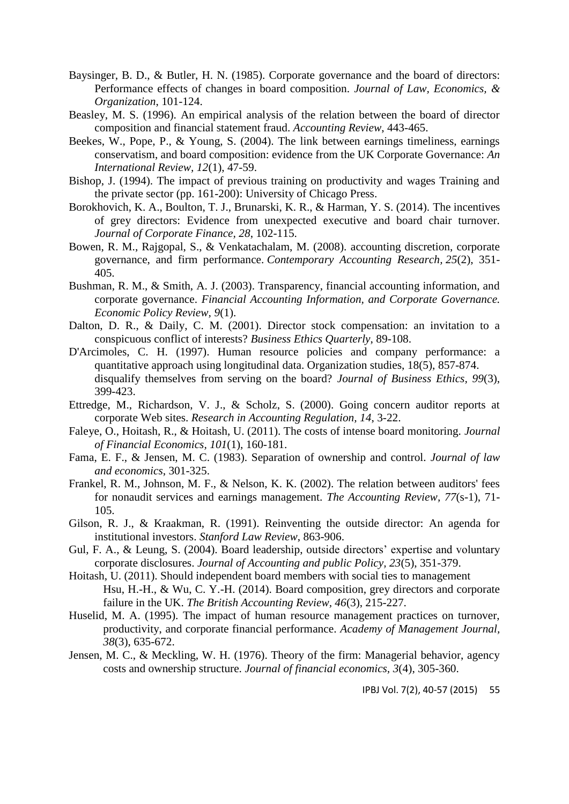- Baysinger, B. D., & Butler, H. N. (1985). Corporate governance and the board of directors: Performance effects of changes in board composition. *Journal of Law, Economics, & Organization*, 101-124.
- Beasley, M. S. (1996). An empirical analysis of the relation between the board of director composition and financial statement fraud. *Accounting Review*, 443-465.
- Beekes, W., Pope, P., & Young, S. (2004). The link between earnings timeliness, earnings conservatism, and board composition: evidence from the UK Corporate Governance: *An International Review, 12*(1), 47-59.
- Bishop, J. (1994). The impact of previous training on productivity and wages Training and the private sector (pp. 161-200): University of Chicago Press.
- Borokhovich, K. A., Boulton, T. J., Brunarski, K. R., & Harman, Y. S. (2014). The incentives of grey directors: Evidence from unexpected executive and board chair turnover. *Journal of Corporate Finance, 28*, 102-115.
- Bowen, R. M., Rajgopal, S., & Venkatachalam, M. (2008). accounting discretion, corporate governance, and firm performance. *Contemporary Accounting Research, 25*(2), 351- 405.
- Bushman, R. M., & Smith, A. J. (2003). Transparency, financial accounting information, and corporate governance. *Financial Accounting Information, and Corporate Governance. Economic Policy Review, 9*(1).
- Dalton, D. R., & Daily, C. M. (2001). Director stock compensation: an invitation to a conspicuous conflict of interests? *Business Ethics Quarterly*, 89-108.
- D'Arcimoles, C. H. (1997). Human resource policies and company performance: a quantitative approach using longitudinal data. Organization studies, 18(5), 857-874. disqualify themselves from serving on the board? *Journal of Business Ethics, 99*(3), 399-423.
- Ettredge, M., Richardson, V. J., & Scholz, S. (2000). Going concern auditor reports at corporate Web sites. *Research in Accounting Regulation, 14*, 3-22.
- Faleye, O., Hoitash, R., & Hoitash, U. (2011). The costs of intense board monitoring. *Journal of Financial Economics, 101*(1), 160-181.
- Fama, E. F., & Jensen, M. C. (1983). Separation of ownership and control*. Journal of law and economics*, 301-325.
- Frankel, R. M., Johnson, M. F., & Nelson, K. K. (2002). The relation between auditors' fees for nonaudit services and earnings management. *The Accounting Review, 77*(s-1), 71- 105.
- Gilson, R. J., & Kraakman, R. (1991). Reinventing the outside director: An agenda for institutional investors. *Stanford Law Review*, 863-906.
- Gul, F. A., & Leung, S. (2004). Board leadership, outside directors' expertise and voluntary corporate disclosures. *Journal of Accounting and public Policy, 23*(5), 351-379.
- Hoitash, U. (2011). Should independent board members with social ties to management Hsu, H.-H., & Wu, C. Y.-H. (2014). Board composition, grey directors and corporate failure in the UK. *The British Accounting Review, 46*(3), 215-227.
- Huselid, M. A. (1995). The impact of human resource management practices on turnover, productivity, and corporate financial performance. *Academy of Management Journal, 38*(3), 635-672.
- Jensen, M. C., & Meckling, W. H. (1976). Theory of the firm: Managerial behavior, agency costs and ownership structure. *Journal of financial economics, 3*(4), 305-360.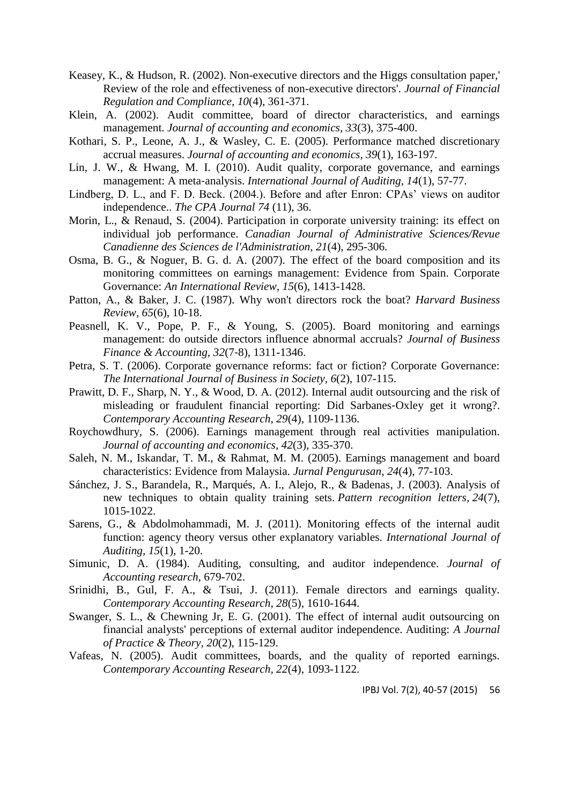- Keasey, K., & Hudson, R. (2002). Non-executive directors and the Higgs consultation paper,' Review of the role and effectiveness of non-executive directors'. *Journal of Financial Regulation and Compliance, 10*(4), 361-371.
- Klein, A. (2002). Audit committee, board of director characteristics, and earnings management. *Journal of accounting and economics, 33*(3), 375-400.
- Kothari, S. P., Leone, A. J., & Wasley, C. E. (2005). Performance matched discretionary accrual measures. *Journal of accounting and economics, 39*(1), 163-197.
- Lin, J. W., & Hwang, M. I. (2010). Audit quality, corporate governance, and earnings management: A meta-analysis. *International Journal of Auditing, 14*(1), 57-77.
- Lindberg, D. L., and F. D. Beck. (2004.). Before and after Enron: CPAs' views on auditor independence.. *The CPA Journal 74* (11), 36.
- Morin, L., & Renaud, S. (2004). Participation in corporate university training: its effect on individual job performance. *Canadian Journal of Administrative Sciences/Revue Canadienne des Sciences de l'Administration, 21*(4), 295-306.
- Osma, B. G., & Noguer, B. G. d. A. (2007). The effect of the board composition and its monitoring committees on earnings management: Evidence from Spain. Corporate Governance: *An International Review, 15*(6), 1413-1428.
- Patton, A., & Baker, J. C. (1987). Why won't directors rock the boat? *Harvard Business Review, 65*(6), 10-18.
- Peasnell, K. V., Pope, P. F., & Young, S. (2005). Board monitoring and earnings management: do outside directors influence abnormal accruals? *Journal of Business Finance & Accounting, 32*(7‐8), 1311-1346.
- Petra, S. T. (2006). Corporate governance reforms: fact or fiction? Corporate Governance: *The International Journal of Business in Society, 6*(2), 107-115.
- Prawitt, D. F., Sharp, N. Y., & Wood, D. A. (2012). Internal audit outsourcing and the risk of misleading or fraudulent financial reporting: Did Sarbanes‐Oxley get it wrong?. *Contemporary Accounting Research, 29*(4), 1109-1136.
- Roychowdhury, S. (2006). Earnings management through real activities manipulation. *Journal of accounting and economics, 42*(3), 335-370.
- Saleh, N. M., Iskandar, T. M., & Rahmat, M. M. (2005). Earnings management and board characteristics: Evidence from Malaysia*. Jurnal Pengurusan, 24*(4), 77-103.
- Sánchez, J. S., Barandela, R., Marqués, A. I., Alejo, R., & Badenas, J. (2003). Analysis of new techniques to obtain quality training sets. *Pattern recognition letters, 24*(7), 1015-1022.
- Sarens, G., & Abdolmohammadi, M. J. (2011). Monitoring effects of the internal audit function: agency theory versus other explanatory variables. *International Journal of Auditing, 15*(1), 1-20.
- Simunic, D. A. (1984). Auditing, consulting, and auditor independence. *Journal of Accounting research*, 679-702.
- Srinidhi, B., Gul, F. A., & Tsui, J. (2011). Female directors and earnings quality. *Contemporary Accounting Research, 28*(5), 1610-1644.
- Swanger, S. L., & Chewning Jr, E. G. (2001). The effect of internal audit outsourcing on financial analysts' perceptions of external auditor independence. Auditing: *A Journal of Practice & Theory, 20*(2), 115-129.
- Vafeas, N. (2005). Audit committees, boards, and the quality of reported earnings. *Contemporary Accounting Research, 22*(4), 1093-1122.